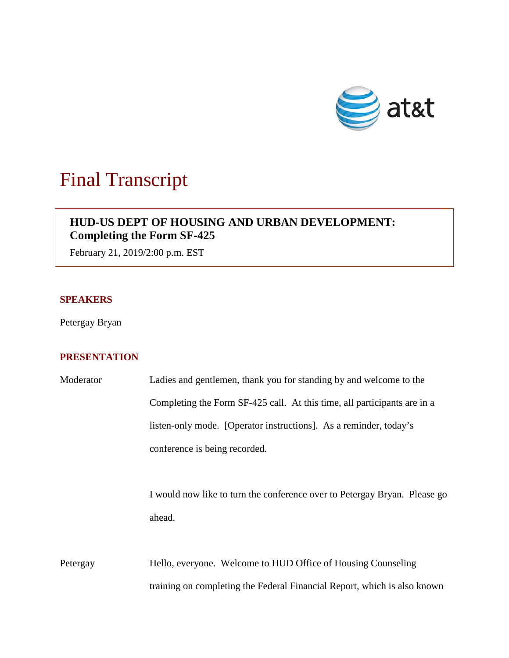

# Final Transcript

# **HUD-US DEPT OF HOUSING AND URBAN DEVELOPMENT: Completing the Form SF-425**

February 21, 2019/2:00 p.m. EST

### **SPEAKERS**

Petergay Bryan

## **PRESENTATION**

| Moderator | Ladies and gentlemen, thank you for standing by and welcome to the        |
|-----------|---------------------------------------------------------------------------|
|           | Completing the Form SF-425 call. At this time, all participants are in a  |
|           | listen-only mode. [Operator instructions]. As a reminder, today's         |
|           | conference is being recorded.                                             |
|           |                                                                           |
|           | I would now like to turn the conference over to Petergay Bryan. Please go |
|           | ahead.                                                                    |
|           |                                                                           |
| Petergay  | Hello, everyone. Welcome to HUD Office of Housing Counseling              |
|           | training on completing the Federal Financial Report, which is also known  |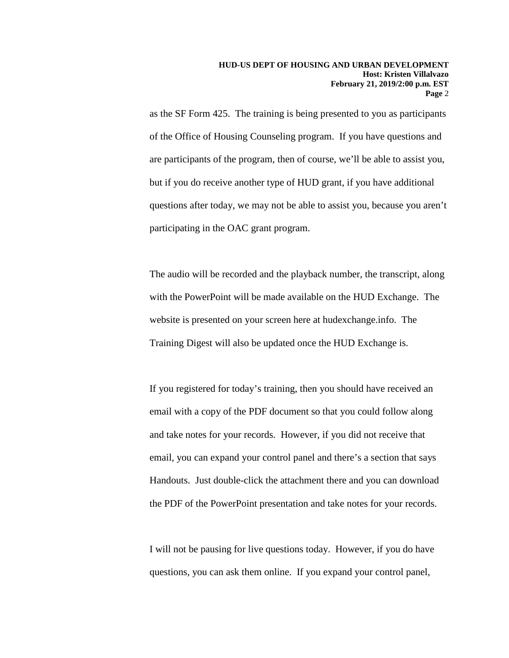as the SF Form 425. The training is being presented to you as participants of the Office of Housing Counseling program. If you have questions and are participants of the program, then of course, we'll be able to assist you, but if you do receive another type of HUD grant, if you have additional questions after today, we may not be able to assist you, because you aren't participating in the OAC grant program.

The audio will be recorded and the playback number, the transcript, along with the PowerPoint will be made available on the HUD Exchange. The website is presented on your screen here at hudexchange.info. The Training Digest will also be updated once the HUD Exchange is.

If you registered for today's training, then you should have received an email with a copy of the PDF document so that you could follow along and take notes for your records. However, if you did not receive that email, you can expand your control panel and there's a section that says Handouts. Just double-click the attachment there and you can download the PDF of the PowerPoint presentation and take notes for your records.

I will not be pausing for live questions today. However, if you do have questions, you can ask them online. If you expand your control panel,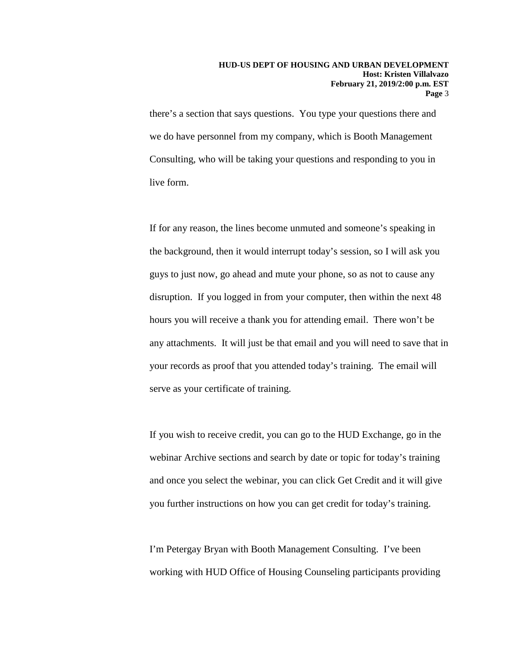there's a section that says questions. You type your questions there and we do have personnel from my company, which is Booth Management Consulting, who will be taking your questions and responding to you in live form.

If for any reason, the lines become unmuted and someone's speaking in the background, then it would interrupt today's session, so I will ask you guys to just now, go ahead and mute your phone, so as not to cause any disruption. If you logged in from your computer, then within the next 48 hours you will receive a thank you for attending email. There won't be any attachments. It will just be that email and you will need to save that in your records as proof that you attended today's training. The email will serve as your certificate of training.

If you wish to receive credit, you can go to the HUD Exchange, go in the webinar Archive sections and search by date or topic for today's training and once you select the webinar, you can click Get Credit and it will give you further instructions on how you can get credit for today's training.

I'm Petergay Bryan with Booth Management Consulting. I've been working with HUD Office of Housing Counseling participants providing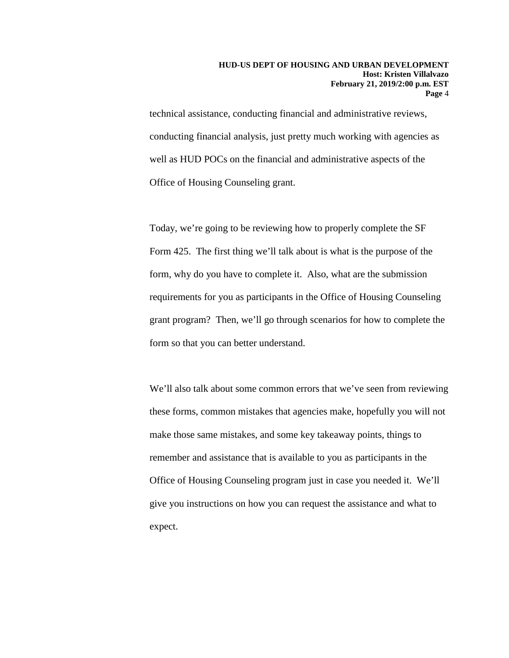technical assistance, conducting financial and administrative reviews, conducting financial analysis, just pretty much working with agencies as well as HUD POCs on the financial and administrative aspects of the Office of Housing Counseling grant.

Today, we're going to be reviewing how to properly complete the SF Form 425. The first thing we'll talk about is what is the purpose of the form, why do you have to complete it. Also, what are the submission requirements for you as participants in the Office of Housing Counseling grant program? Then, we'll go through scenarios for how to complete the form so that you can better understand.

We'll also talk about some common errors that we've seen from reviewing these forms, common mistakes that agencies make, hopefully you will not make those same mistakes, and some key takeaway points, things to remember and assistance that is available to you as participants in the Office of Housing Counseling program just in case you needed it. We'll give you instructions on how you can request the assistance and what to expect.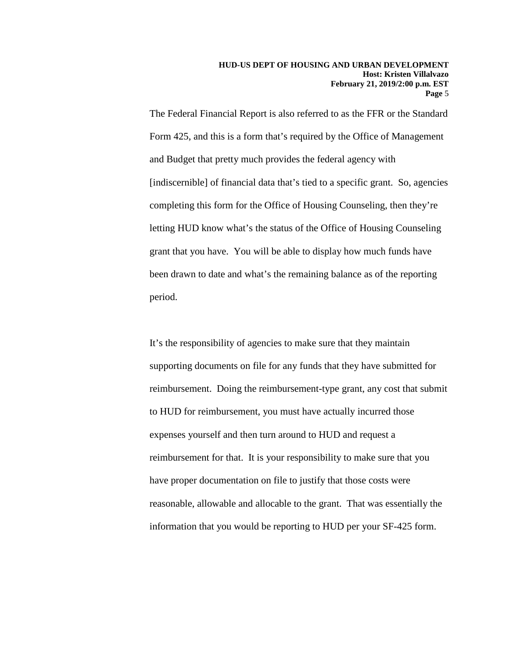The Federal Financial Report is also referred to as the FFR or the Standard Form 425, and this is a form that's required by the Office of Management and Budget that pretty much provides the federal agency with [indiscernible] of financial data that's tied to a specific grant. So, agencies completing this form for the Office of Housing Counseling, then they're letting HUD know what's the status of the Office of Housing Counseling grant that you have. You will be able to display how much funds have been drawn to date and what's the remaining balance as of the reporting period.

It's the responsibility of agencies to make sure that they maintain supporting documents on file for any funds that they have submitted for reimbursement. Doing the reimbursement-type grant, any cost that submit to HUD for reimbursement, you must have actually incurred those expenses yourself and then turn around to HUD and request a reimbursement for that. It is your responsibility to make sure that you have proper documentation on file to justify that those costs were reasonable, allowable and allocable to the grant. That was essentially the information that you would be reporting to HUD per your SF-425 form.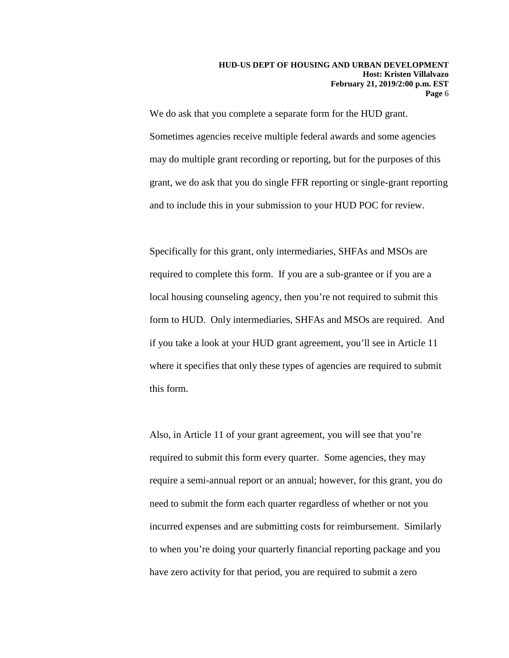We do ask that you complete a separate form for the HUD grant. Sometimes agencies receive multiple federal awards and some agencies may do multiple grant recording or reporting, but for the purposes of this grant, we do ask that you do single FFR reporting or single-grant reporting and to include this in your submission to your HUD POC for review.

Specifically for this grant, only intermediaries, SHFAs and MSOs are required to complete this form. If you are a sub-grantee or if you are a local housing counseling agency, then you're not required to submit this form to HUD. Only intermediaries, SHFAs and MSOs are required. And if you take a look at your HUD grant agreement, you'll see in Article 11 where it specifies that only these types of agencies are required to submit this form.

Also, in Article 11 of your grant agreement, you will see that you're required to submit this form every quarter. Some agencies, they may require a semi-annual report or an annual; however, for this grant, you do need to submit the form each quarter regardless of whether or not you incurred expenses and are submitting costs for reimbursement. Similarly to when you're doing your quarterly financial reporting package and you have zero activity for that period, you are required to submit a zero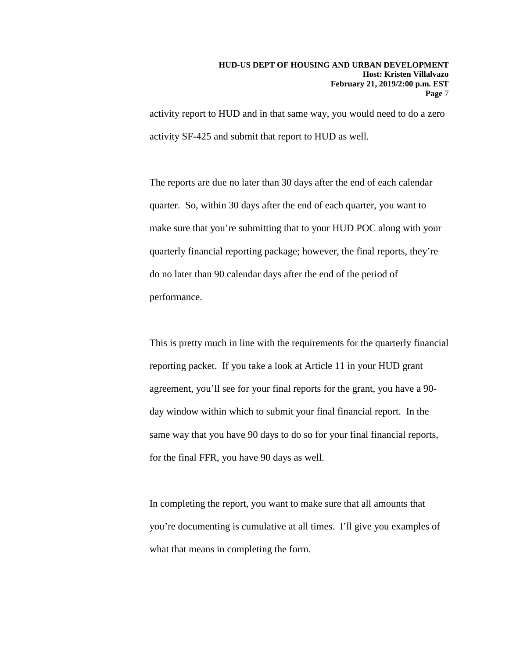activity report to HUD and in that same way, you would need to do a zero activity SF-425 and submit that report to HUD as well.

The reports are due no later than 30 days after the end of each calendar quarter. So, within 30 days after the end of each quarter, you want to make sure that you're submitting that to your HUD POC along with your quarterly financial reporting package; however, the final reports, they're do no later than 90 calendar days after the end of the period of performance.

This is pretty much in line with the requirements for the quarterly financial reporting packet. If you take a look at Article 11 in your HUD grant agreement, you'll see for your final reports for the grant, you have a 90 day window within which to submit your final financial report. In the same way that you have 90 days to do so for your final financial reports, for the final FFR, you have 90 days as well.

In completing the report, you want to make sure that all amounts that you're documenting is cumulative at all times. I'll give you examples of what that means in completing the form.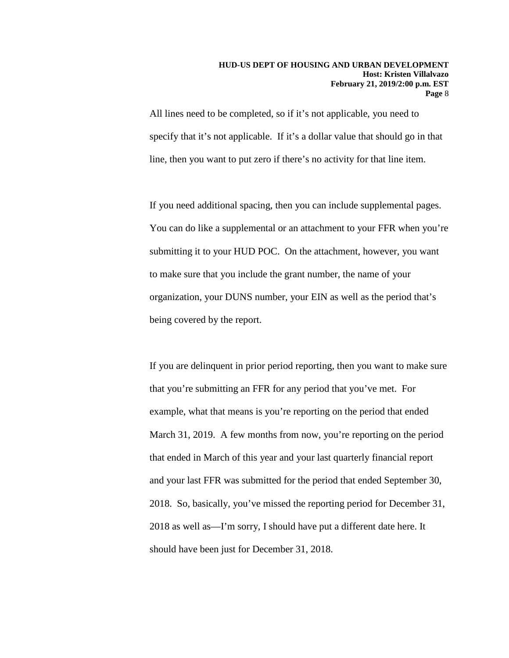All lines need to be completed, so if it's not applicable, you need to specify that it's not applicable. If it's a dollar value that should go in that line, then you want to put zero if there's no activity for that line item.

If you need additional spacing, then you can include supplemental pages. You can do like a supplemental or an attachment to your FFR when you're submitting it to your HUD POC. On the attachment, however, you want to make sure that you include the grant number, the name of your organization, your DUNS number, your EIN as well as the period that's being covered by the report.

If you are delinquent in prior period reporting, then you want to make sure that you're submitting an FFR for any period that you've met. For example, what that means is you're reporting on the period that ended March 31, 2019. A few months from now, you're reporting on the period that ended in March of this year and your last quarterly financial report and your last FFR was submitted for the period that ended September 30, 2018. So, basically, you've missed the reporting period for December 31, 2018 as well as—I'm sorry, I should have put a different date here. It should have been just for December 31, 2018.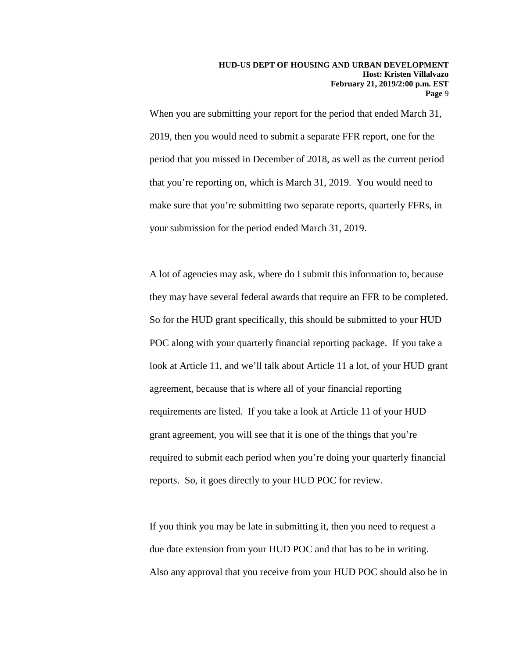When you are submitting your report for the period that ended March 31, 2019, then you would need to submit a separate FFR report, one for the period that you missed in December of 2018, as well as the current period that you're reporting on, which is March 31, 2019. You would need to make sure that you're submitting two separate reports, quarterly FFRs, in your submission for the period ended March 31, 2019.

A lot of agencies may ask, where do I submit this information to, because they may have several federal awards that require an FFR to be completed. So for the HUD grant specifically, this should be submitted to your HUD POC along with your quarterly financial reporting package. If you take a look at Article 11, and we'll talk about Article 11 a lot, of your HUD grant agreement, because that is where all of your financial reporting requirements are listed. If you take a look at Article 11 of your HUD grant agreement, you will see that it is one of the things that you're required to submit each period when you're doing your quarterly financial reports. So, it goes directly to your HUD POC for review.

If you think you may be late in submitting it, then you need to request a due date extension from your HUD POC and that has to be in writing. Also any approval that you receive from your HUD POC should also be in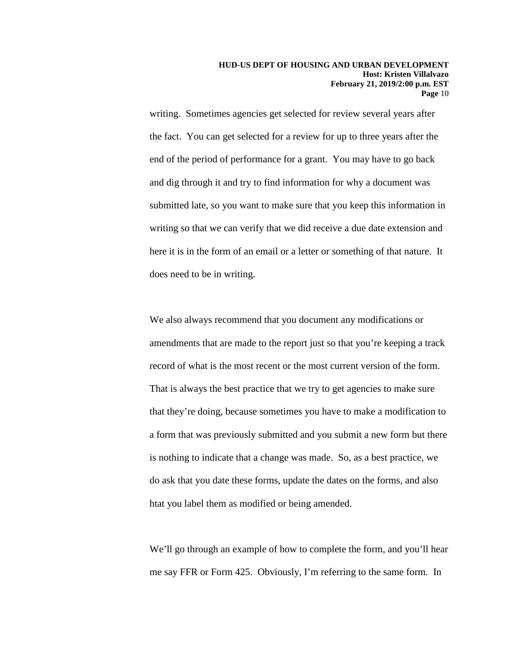writing. Sometimes agencies get selected for review several years after the fact. You can get selected for a review for up to three years after the end of the period of performance for a grant. You may have to go back and dig through it and try to find information for why a document was submitted late, so you want to make sure that you keep this information in writing so that we can verify that we did receive a due date extension and here it is in the form of an email or a letter or something of that nature. It does need to be in writing.

We also always recommend that you document any modifications or amendments that are made to the report just so that you're keeping a track record of what is the most recent or the most current version of the form. That is always the best practice that we try to get agencies to make sure that they're doing, because sometimes you have to make a modification to a form that was previously submitted and you submit a new form but there is nothing to indicate that a change was made. So, as a best practice, we do ask that you date these forms, update the dates on the forms, and also htat you label them as modified or being amended.

We'll go through an example of how to complete the form, and you'll hear me say FFR or Form 425. Obviously, I'm referring to the same form. In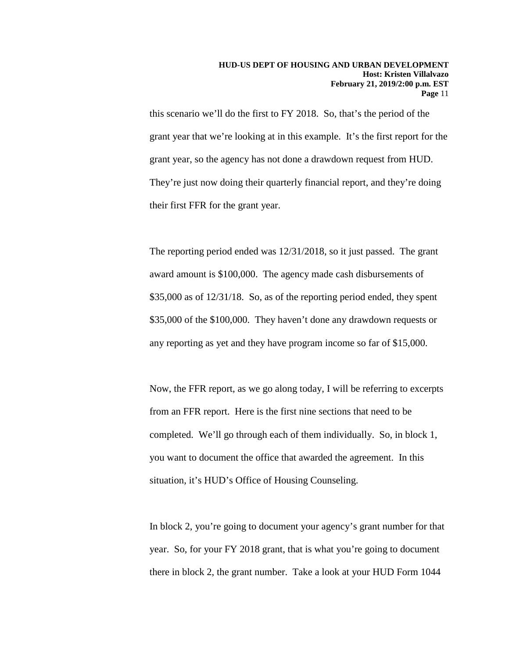this scenario we'll do the first to FY 2018. So, that's the period of the grant year that we're looking at in this example. It's the first report for the grant year, so the agency has not done a drawdown request from HUD. They're just now doing their quarterly financial report, and they're doing their first FFR for the grant year.

The reporting period ended was 12/31/2018, so it just passed. The grant award amount is \$100,000. The agency made cash disbursements of \$35,000 as of 12/31/18. So, as of the reporting period ended, they spent \$35,000 of the \$100,000. They haven't done any drawdown requests or any reporting as yet and they have program income so far of \$15,000.

Now, the FFR report, as we go along today, I will be referring to excerpts from an FFR report. Here is the first nine sections that need to be completed. We'll go through each of them individually. So, in block 1, you want to document the office that awarded the agreement. In this situation, it's HUD's Office of Housing Counseling.

In block 2, you're going to document your agency's grant number for that year. So, for your FY 2018 grant, that is what you're going to document there in block 2, the grant number. Take a look at your HUD Form 1044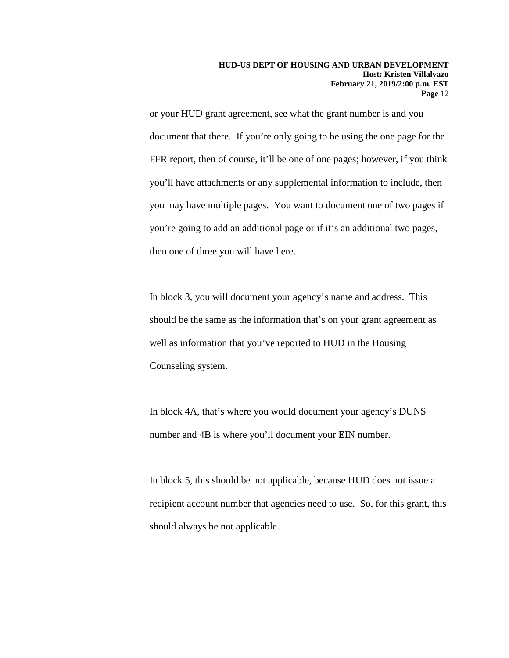or your HUD grant agreement, see what the grant number is and you document that there. If you're only going to be using the one page for the FFR report, then of course, it'll be one of one pages; however, if you think you'll have attachments or any supplemental information to include, then you may have multiple pages. You want to document one of two pages if you're going to add an additional page or if it's an additional two pages, then one of three you will have here.

In block 3, you will document your agency's name and address. This should be the same as the information that's on your grant agreement as well as information that you've reported to HUD in the Housing Counseling system.

In block 4A, that's where you would document your agency's DUNS number and 4B is where you'll document your EIN number.

In block 5, this should be not applicable, because HUD does not issue a recipient account number that agencies need to use. So, for this grant, this should always be not applicable.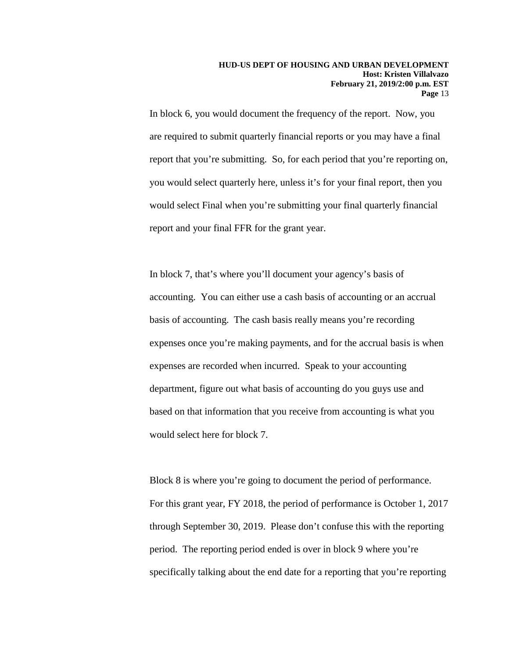In block 6, you would document the frequency of the report. Now, you are required to submit quarterly financial reports or you may have a final report that you're submitting. So, for each period that you're reporting on, you would select quarterly here, unless it's for your final report, then you would select Final when you're submitting your final quarterly financial report and your final FFR for the grant year.

In block 7, that's where you'll document your agency's basis of accounting. You can either use a cash basis of accounting or an accrual basis of accounting. The cash basis really means you're recording expenses once you're making payments, and for the accrual basis is when expenses are recorded when incurred. Speak to your accounting department, figure out what basis of accounting do you guys use and based on that information that you receive from accounting is what you would select here for block 7.

Block 8 is where you're going to document the period of performance. For this grant year, FY 2018, the period of performance is October 1, 2017 through September 30, 2019. Please don't confuse this with the reporting period. The reporting period ended is over in block 9 where you're specifically talking about the end date for a reporting that you're reporting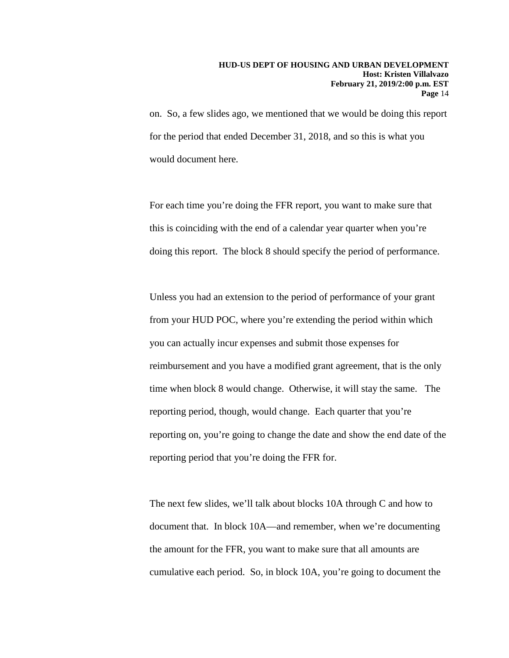on. So, a few slides ago, we mentioned that we would be doing this report for the period that ended December 31, 2018, and so this is what you would document here.

For each time you're doing the FFR report, you want to make sure that this is coinciding with the end of a calendar year quarter when you're doing this report. The block 8 should specify the period of performance.

Unless you had an extension to the period of performance of your grant from your HUD POC, where you're extending the period within which you can actually incur expenses and submit those expenses for reimbursement and you have a modified grant agreement, that is the only time when block 8 would change. Otherwise, it will stay the same. The reporting period, though, would change. Each quarter that you're reporting on, you're going to change the date and show the end date of the reporting period that you're doing the FFR for.

The next few slides, we'll talk about blocks 10A through C and how to document that. In block 10A—and remember, when we're documenting the amount for the FFR, you want to make sure that all amounts are cumulative each period. So, in block 10A, you're going to document the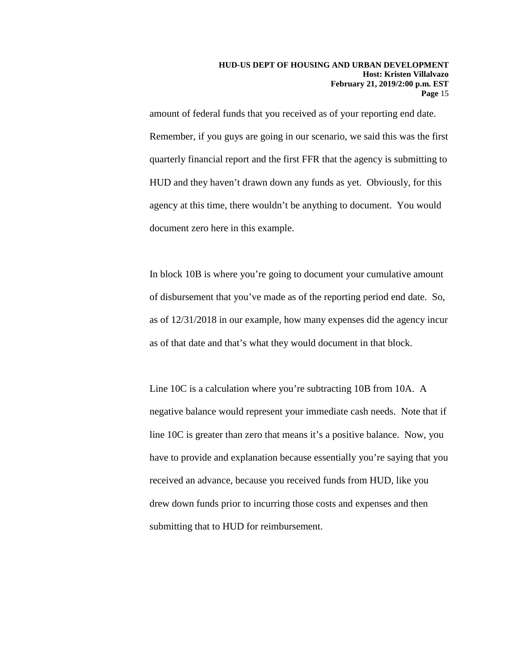amount of federal funds that you received as of your reporting end date. Remember, if you guys are going in our scenario, we said this was the first quarterly financial report and the first FFR that the agency is submitting to HUD and they haven't drawn down any funds as yet. Obviously, for this agency at this time, there wouldn't be anything to document. You would document zero here in this example.

In block 10B is where you're going to document your cumulative amount of disbursement that you've made as of the reporting period end date. So, as of 12/31/2018 in our example, how many expenses did the agency incur as of that date and that's what they would document in that block.

Line 10C is a calculation where you're subtracting 10B from 10A. A negative balance would represent your immediate cash needs. Note that if line 10C is greater than zero that means it's a positive balance. Now, you have to provide and explanation because essentially you're saying that you received an advance, because you received funds from HUD, like you drew down funds prior to incurring those costs and expenses and then submitting that to HUD for reimbursement.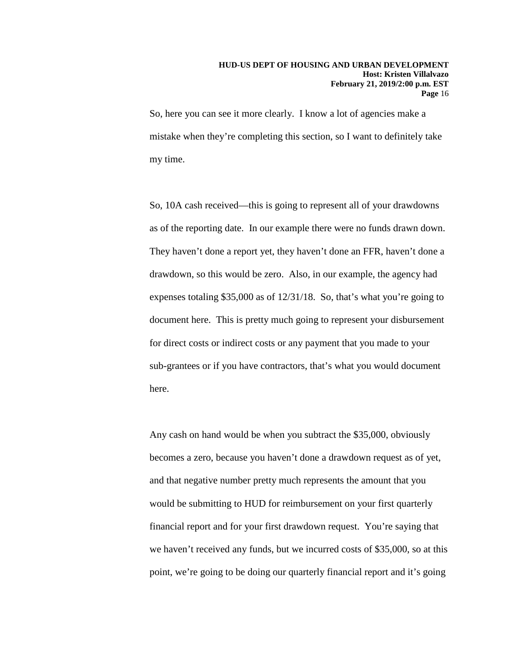So, here you can see it more clearly. I know a lot of agencies make a mistake when they're completing this section, so I want to definitely take my time.

So, 10A cash received—this is going to represent all of your drawdowns as of the reporting date. In our example there were no funds drawn down. They haven't done a report yet, they haven't done an FFR, haven't done a drawdown, so this would be zero. Also, in our example, the agency had expenses totaling \$35,000 as of 12/31/18. So, that's what you're going to document here. This is pretty much going to represent your disbursement for direct costs or indirect costs or any payment that you made to your sub-grantees or if you have contractors, that's what you would document here.

Any cash on hand would be when you subtract the \$35,000, obviously becomes a zero, because you haven't done a drawdown request as of yet, and that negative number pretty much represents the amount that you would be submitting to HUD for reimbursement on your first quarterly financial report and for your first drawdown request. You're saying that we haven't received any funds, but we incurred costs of \$35,000, so at this point, we're going to be doing our quarterly financial report and it's going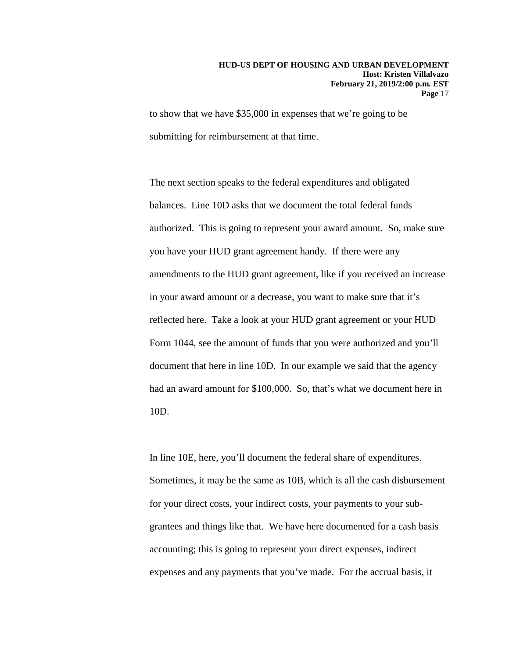to show that we have \$35,000 in expenses that we're going to be submitting for reimbursement at that time.

The next section speaks to the federal expenditures and obligated balances. Line 10D asks that we document the total federal funds authorized. This is going to represent your award amount. So, make sure you have your HUD grant agreement handy. If there were any amendments to the HUD grant agreement, like if you received an increase in your award amount or a decrease, you want to make sure that it's reflected here. Take a look at your HUD grant agreement or your HUD Form 1044, see the amount of funds that you were authorized and you'll document that here in line 10D. In our example we said that the agency had an award amount for \$100,000. So, that's what we document here in 10D.

In line 10E, here, you'll document the federal share of expenditures. Sometimes, it may be the same as 10B, which is all the cash disbursement for your direct costs, your indirect costs, your payments to your subgrantees and things like that. We have here documented for a cash basis accounting; this is going to represent your direct expenses, indirect expenses and any payments that you've made. For the accrual basis, it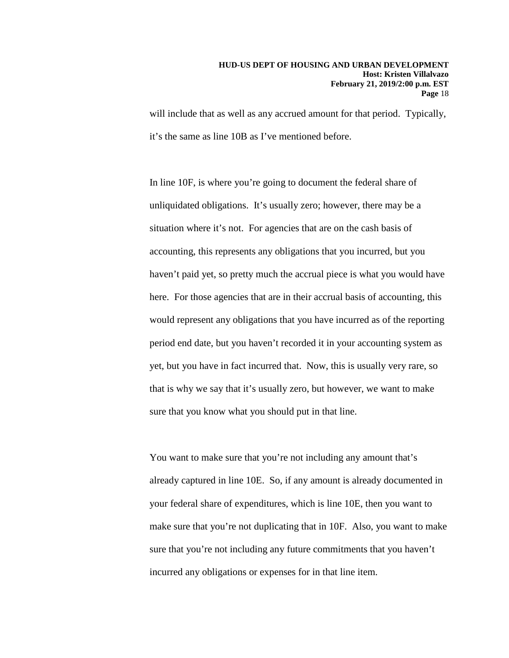will include that as well as any accrued amount for that period. Typically, it's the same as line 10B as I've mentioned before.

In line 10F, is where you're going to document the federal share of unliquidated obligations. It's usually zero; however, there may be a situation where it's not. For agencies that are on the cash basis of accounting, this represents any obligations that you incurred, but you haven't paid yet, so pretty much the accrual piece is what you would have here. For those agencies that are in their accrual basis of accounting, this would represent any obligations that you have incurred as of the reporting period end date, but you haven't recorded it in your accounting system as yet, but you have in fact incurred that. Now, this is usually very rare, so that is why we say that it's usually zero, but however, we want to make sure that you know what you should put in that line.

You want to make sure that you're not including any amount that's already captured in line 10E. So, if any amount is already documented in your federal share of expenditures, which is line 10E, then you want to make sure that you're not duplicating that in 10F. Also, you want to make sure that you're not including any future commitments that you haven't incurred any obligations or expenses for in that line item.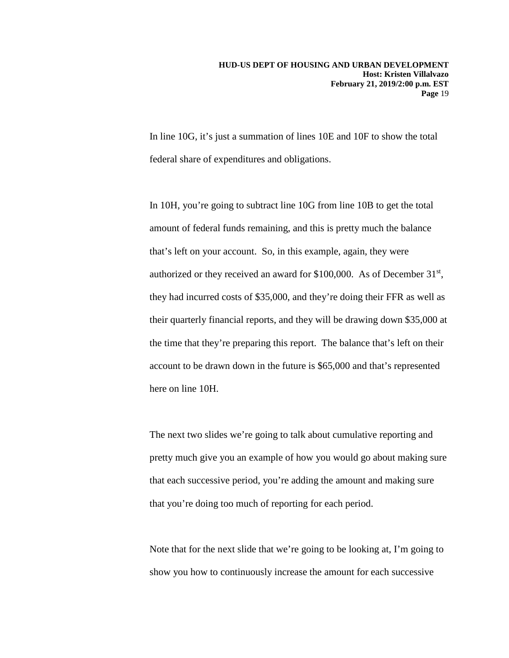In line 10G, it's just a summation of lines 10E and 10F to show the total federal share of expenditures and obligations.

In 10H, you're going to subtract line 10G from line 10B to get the total amount of federal funds remaining, and this is pretty much the balance that's left on your account. So, in this example, again, they were authorized or they received an award for \$100,000. As of December 31st, they had incurred costs of \$35,000, and they're doing their FFR as well as their quarterly financial reports, and they will be drawing down \$35,000 at the time that they're preparing this report. The balance that's left on their account to be drawn down in the future is \$65,000 and that's represented here on line 10H.

The next two slides we're going to talk about cumulative reporting and pretty much give you an example of how you would go about making sure that each successive period, you're adding the amount and making sure that you're doing too much of reporting for each period.

Note that for the next slide that we're going to be looking at, I'm going to show you how to continuously increase the amount for each successive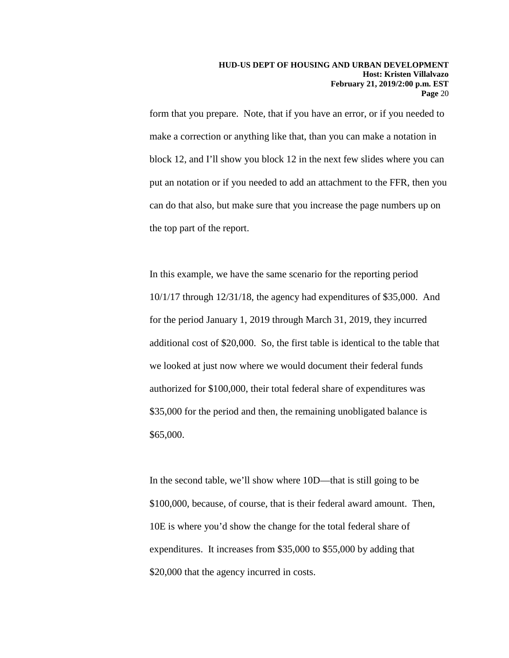form that you prepare. Note, that if you have an error, or if you needed to make a correction or anything like that, than you can make a notation in block 12, and I'll show you block 12 in the next few slides where you can put an notation or if you needed to add an attachment to the FFR, then you can do that also, but make sure that you increase the page numbers up on the top part of the report.

In this example, we have the same scenario for the reporting period 10/1/17 through 12/31/18, the agency had expenditures of \$35,000. And for the period January 1, 2019 through March 31, 2019, they incurred additional cost of \$20,000. So, the first table is identical to the table that we looked at just now where we would document their federal funds authorized for \$100,000, their total federal share of expenditures was \$35,000 for the period and then, the remaining unobligated balance is \$65,000.

In the second table, we'll show where 10D—that is still going to be \$100,000, because, of course, that is their federal award amount. Then, 10E is where you'd show the change for the total federal share of expenditures. It increases from \$35,000 to \$55,000 by adding that \$20,000 that the agency incurred in costs.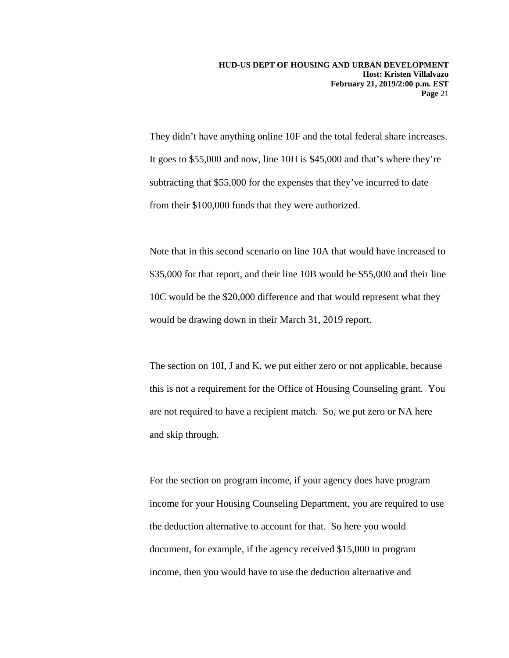They didn't have anything online 10F and the total federal share increases. It goes to \$55,000 and now, line 10H is \$45,000 and that's where they're subtracting that \$55,000 for the expenses that they've incurred to date from their \$100,000 funds that they were authorized.

Note that in this second scenario on line 10A that would have increased to \$35,000 for that report, and their line 10B would be \$55,000 and their line 10C would be the \$20,000 difference and that would represent what they would be drawing down in their March 31, 2019 report.

The section on 10I, J and K, we put either zero or not applicable, because this is not a requirement for the Office of Housing Counseling grant. You are not required to have a recipient match. So, we put zero or NA here and skip through.

For the section on program income, if your agency does have program income for your Housing Counseling Department, you are required to use the deduction alternative to account for that. So here you would document, for example, if the agency received \$15,000 in program income, then you would have to use the deduction alternative and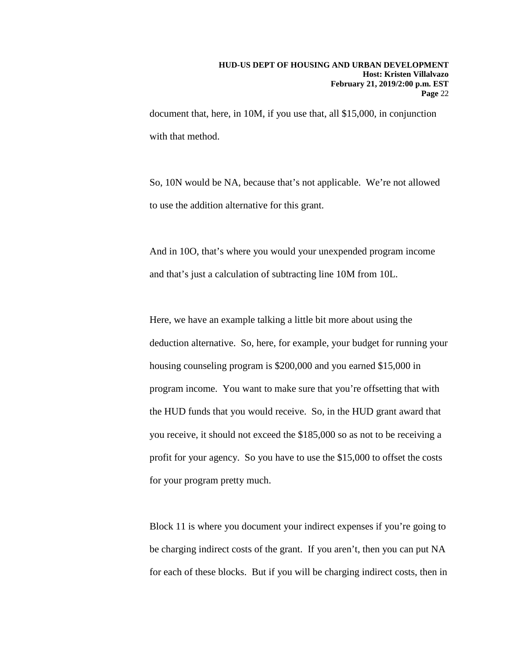document that, here, in 10M, if you use that, all \$15,000, in conjunction with that method.

So, 10N would be NA, because that's not applicable. We're not allowed to use the addition alternative for this grant.

And in 10O, that's where you would your unexpended program income and that's just a calculation of subtracting line 10M from 10L.

Here, we have an example talking a little bit more about using the deduction alternative. So, here, for example, your budget for running your housing counseling program is \$200,000 and you earned \$15,000 in program income. You want to make sure that you're offsetting that with the HUD funds that you would receive. So, in the HUD grant award that you receive, it should not exceed the \$185,000 so as not to be receiving a profit for your agency. So you have to use the \$15,000 to offset the costs for your program pretty much.

Block 11 is where you document your indirect expenses if you're going to be charging indirect costs of the grant. If you aren't, then you can put NA for each of these blocks. But if you will be charging indirect costs, then in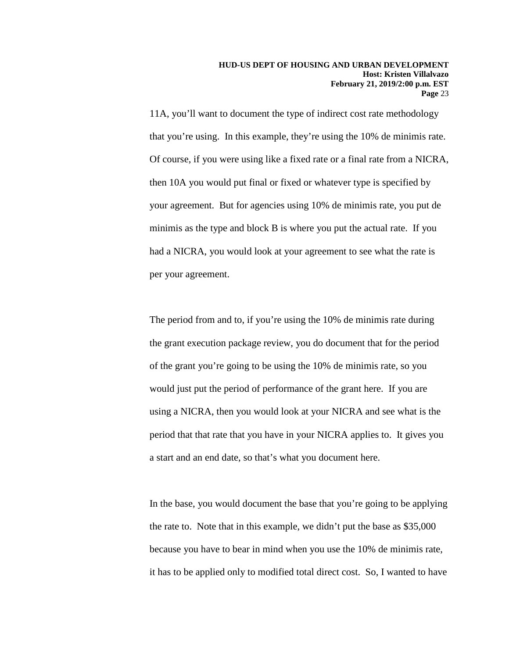11A, you'll want to document the type of indirect cost rate methodology that you're using. In this example, they're using the 10% de minimis rate. Of course, if you were using like a fixed rate or a final rate from a NICRA, then 10A you would put final or fixed or whatever type is specified by your agreement. But for agencies using 10% de minimis rate, you put de minimis as the type and block B is where you put the actual rate. If you had a NICRA, you would look at your agreement to see what the rate is per your agreement.

The period from and to, if you're using the 10% de minimis rate during the grant execution package review, you do document that for the period of the grant you're going to be using the 10% de minimis rate, so you would just put the period of performance of the grant here. If you are using a NICRA, then you would look at your NICRA and see what is the period that that rate that you have in your NICRA applies to. It gives you a start and an end date, so that's what you document here.

In the base, you would document the base that you're going to be applying the rate to. Note that in this example, we didn't put the base as \$35,000 because you have to bear in mind when you use the 10% de minimis rate, it has to be applied only to modified total direct cost. So, I wanted to have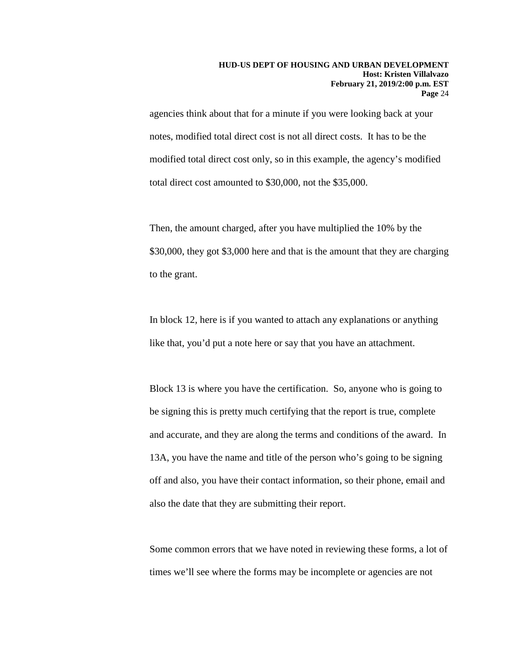agencies think about that for a minute if you were looking back at your notes, modified total direct cost is not all direct costs. It has to be the modified total direct cost only, so in this example, the agency's modified total direct cost amounted to \$30,000, not the \$35,000.

Then, the amount charged, after you have multiplied the 10% by the \$30,000, they got \$3,000 here and that is the amount that they are charging to the grant.

In block 12, here is if you wanted to attach any explanations or anything like that, you'd put a note here or say that you have an attachment.

Block 13 is where you have the certification. So, anyone who is going to be signing this is pretty much certifying that the report is true, complete and accurate, and they are along the terms and conditions of the award. In 13A, you have the name and title of the person who's going to be signing off and also, you have their contact information, so their phone, email and also the date that they are submitting their report.

Some common errors that we have noted in reviewing these forms, a lot of times we'll see where the forms may be incomplete or agencies are not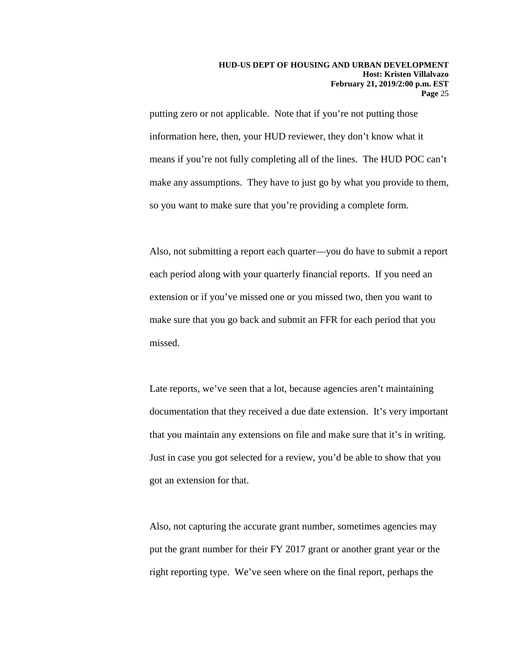putting zero or not applicable. Note that if you're not putting those information here, then, your HUD reviewer, they don't know what it means if you're not fully completing all of the lines. The HUD POC can't make any assumptions. They have to just go by what you provide to them, so you want to make sure that you're providing a complete form.

Also, not submitting a report each quarter—you do have to submit a report each period along with your quarterly financial reports. If you need an extension or if you've missed one or you missed two, then you want to make sure that you go back and submit an FFR for each period that you missed.

Late reports, we've seen that a lot, because agencies aren't maintaining documentation that they received a due date extension. It's very important that you maintain any extensions on file and make sure that it's in writing. Just in case you got selected for a review, you'd be able to show that you got an extension for that.

Also, not capturing the accurate grant number, sometimes agencies may put the grant number for their FY 2017 grant or another grant year or the right reporting type. We've seen where on the final report, perhaps the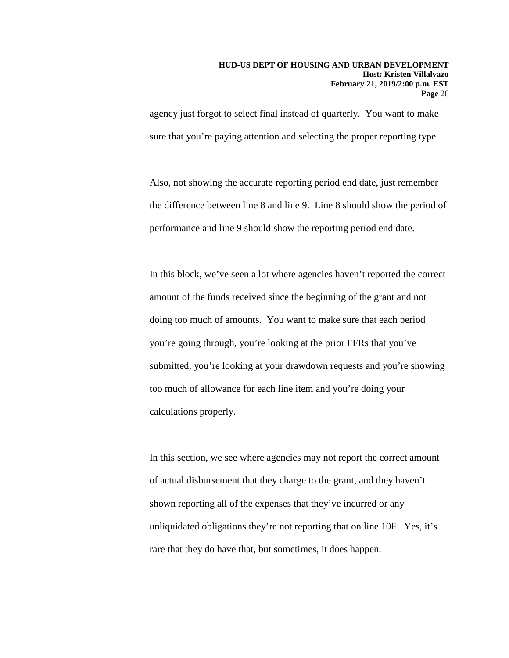agency just forgot to select final instead of quarterly. You want to make sure that you're paying attention and selecting the proper reporting type.

Also, not showing the accurate reporting period end date, just remember the difference between line 8 and line 9. Line 8 should show the period of performance and line 9 should show the reporting period end date.

In this block, we've seen a lot where agencies haven't reported the correct amount of the funds received since the beginning of the grant and not doing too much of amounts. You want to make sure that each period you're going through, you're looking at the prior FFRs that you've submitted, you're looking at your drawdown requests and you're showing too much of allowance for each line item and you're doing your calculations properly.

In this section, we see where agencies may not report the correct amount of actual disbursement that they charge to the grant, and they haven't shown reporting all of the expenses that they've incurred or any unliquidated obligations they're not reporting that on line 10F. Yes, it's rare that they do have that, but sometimes, it does happen.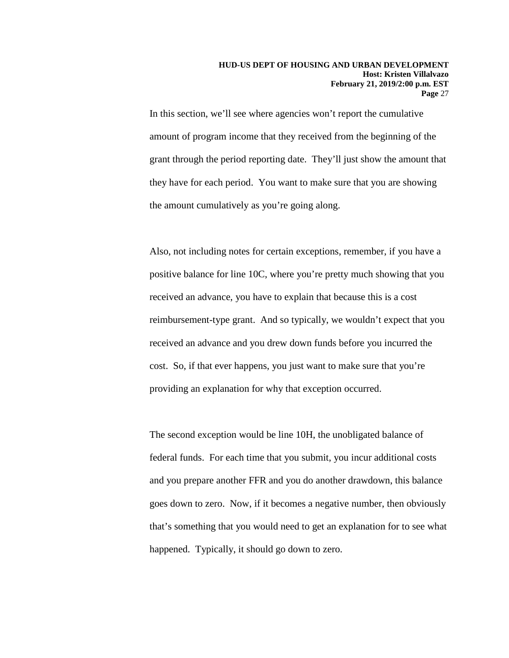In this section, we'll see where agencies won't report the cumulative amount of program income that they received from the beginning of the grant through the period reporting date. They'll just show the amount that they have for each period. You want to make sure that you are showing the amount cumulatively as you're going along.

Also, not including notes for certain exceptions, remember, if you have a positive balance for line 10C, where you're pretty much showing that you received an advance, you have to explain that because this is a cost reimbursement-type grant. And so typically, we wouldn't expect that you received an advance and you drew down funds before you incurred the cost. So, if that ever happens, you just want to make sure that you're providing an explanation for why that exception occurred.

The second exception would be line 10H, the unobligated balance of federal funds. For each time that you submit, you incur additional costs and you prepare another FFR and you do another drawdown, this balance goes down to zero. Now, if it becomes a negative number, then obviously that's something that you would need to get an explanation for to see what happened. Typically, it should go down to zero.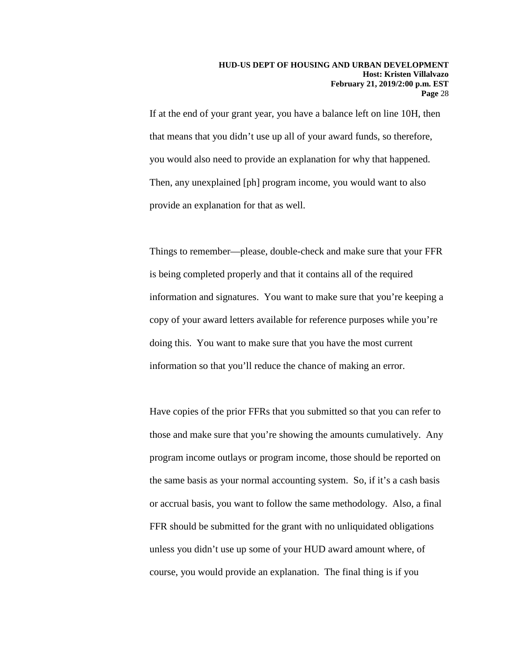If at the end of your grant year, you have a balance left on line 10H, then that means that you didn't use up all of your award funds, so therefore, you would also need to provide an explanation for why that happened. Then, any unexplained [ph] program income, you would want to also provide an explanation for that as well.

Things to remember—please, double-check and make sure that your FFR is being completed properly and that it contains all of the required information and signatures. You want to make sure that you're keeping a copy of your award letters available for reference purposes while you're doing this. You want to make sure that you have the most current information so that you'll reduce the chance of making an error.

Have copies of the prior FFRs that you submitted so that you can refer to those and make sure that you're showing the amounts cumulatively. Any program income outlays or program income, those should be reported on the same basis as your normal accounting system. So, if it's a cash basis or accrual basis, you want to follow the same methodology. Also, a final FFR should be submitted for the grant with no unliquidated obligations unless you didn't use up some of your HUD award amount where, of course, you would provide an explanation. The final thing is if you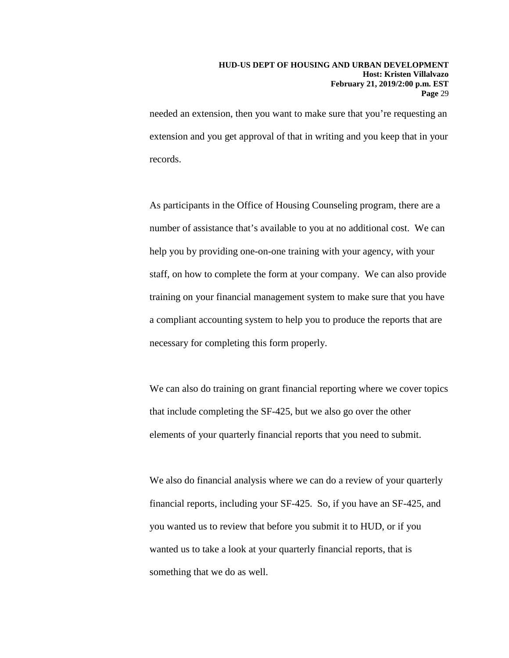needed an extension, then you want to make sure that you're requesting an extension and you get approval of that in writing and you keep that in your records.

As participants in the Office of Housing Counseling program, there are a number of assistance that's available to you at no additional cost. We can help you by providing one-on-one training with your agency, with your staff, on how to complete the form at your company. We can also provide training on your financial management system to make sure that you have a compliant accounting system to help you to produce the reports that are necessary for completing this form properly.

We can also do training on grant financial reporting where we cover topics that include completing the SF-425, but we also go over the other elements of your quarterly financial reports that you need to submit.

We also do financial analysis where we can do a review of your quarterly financial reports, including your SF-425. So, if you have an SF-425, and you wanted us to review that before you submit it to HUD, or if you wanted us to take a look at your quarterly financial reports, that is something that we do as well.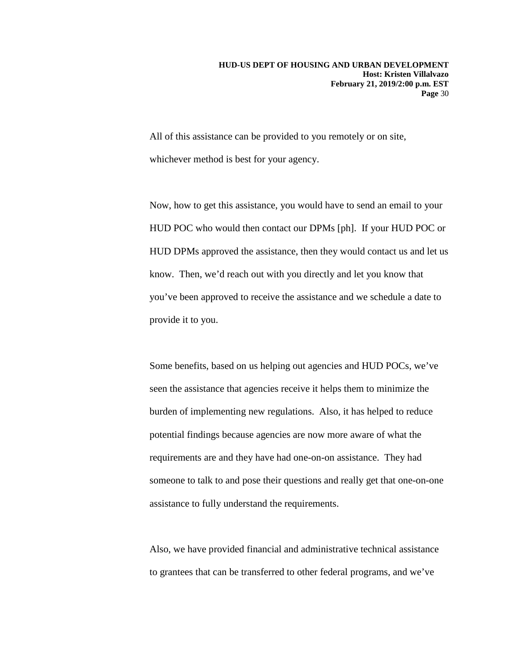All of this assistance can be provided to you remotely or on site, whichever method is best for your agency.

Now, how to get this assistance, you would have to send an email to your HUD POC who would then contact our DPMs [ph]. If your HUD POC or HUD DPMs approved the assistance, then they would contact us and let us know. Then, we'd reach out with you directly and let you know that you've been approved to receive the assistance and we schedule a date to provide it to you.

Some benefits, based on us helping out agencies and HUD POCs, we've seen the assistance that agencies receive it helps them to minimize the burden of implementing new regulations. Also, it has helped to reduce potential findings because agencies are now more aware of what the requirements are and they have had one-on-on assistance. They had someone to talk to and pose their questions and really get that one-on-one assistance to fully understand the requirements.

Also, we have provided financial and administrative technical assistance to grantees that can be transferred to other federal programs, and we've